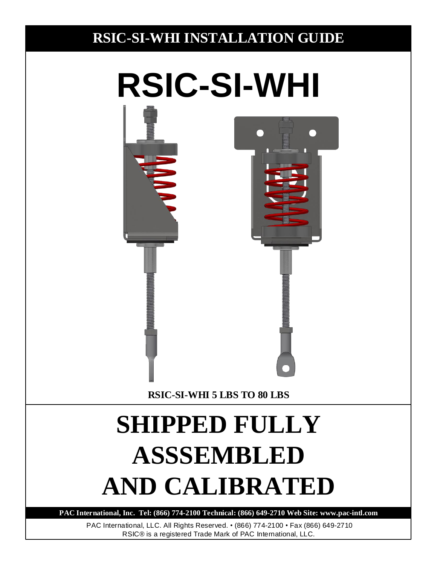## **RSIC-SI-WHI INSTALLATION GUIDE**

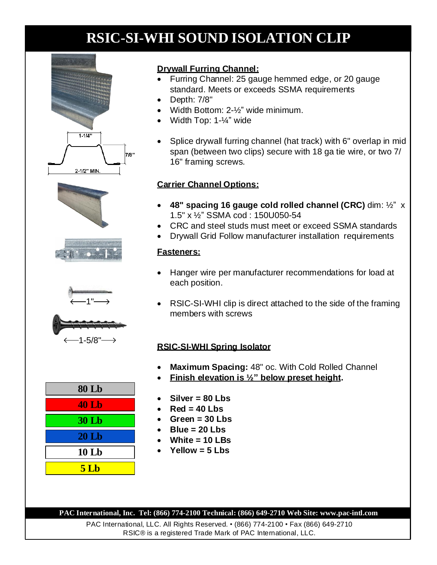









| <b>80 Lb</b>     |
|------------------|
| <b>40 Lb</b>     |
| <b>30 Lb</b>     |
| 20 <sub>th</sub> |
| 10Lb             |
| <b>5 Lb</b>      |

## **Drywall Furring Channel:**

- Furring Channel: 25 gauge hemmed edge, or 20 gauge standard. Meets or exceeds SSMA requirements
- Depth: 7/8"
- Width Bottom: 2-½" wide minimum.
- Width Top: 1-¼" wide
- Splice drywall furring channel (hat track) with 6" overlap in mid span (between two clips) secure with 18 ga tie wire, or two 7/ 16" framing screws.

## **Carrier Channel Options:**

- **48" spacing 16 gauge cold rolled channel (CRC)** dim: ½" x 1.5" x ½" SSMA cod : 150U050-54
- CRC and steel studs must meet or exceed SSMA standards
- Drywall Grid Follow manufacturer installation requirements

## **Fasteners:**

- Hanger wire per manufacturer recommendations for load at each position.
- RSIC-SI-WHI clip is direct attached to the side of the framing members with screws

## **RSIC-SI-WHI Spring Isolator**

- **Maximum Spacing:** 48" oc. With Cold Rolled Channel
- **Finish elevation is ½" below preset height.**
- **Silver = 80 Lbs**
- **Red = 40 Lbs**
- **Green = 30 Lbs**
- **Blue = 20 Lbs**
- **White = 10 LBs**
- **Yellow = 5 Lbs**

**PAC International, Inc. Tel: (866) 774-2100 Technical: (866) 649-2710 Web Site: www.pac-intl.com**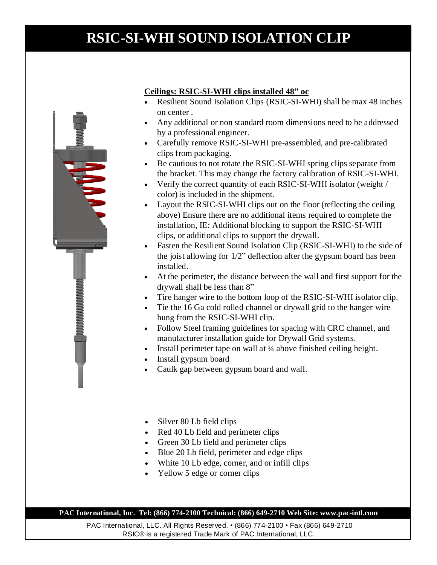## **Ceilings: RSIC-SI-WHI clips installed 48" oc**

- Resilient Sound Isolation Clips (RSIC-SI-WHI) shall be max 48 inches on center .
- Any additional or non standard room dimensions need to be addressed by a professional engineer.
- Carefully remove RSIC-SI-WHI pre-assembled, and pre-calibrated clips from packaging.
- Be cautious to not rotate the RSIC-SI-WHI spring clips separate from the bracket. This may change the factory calibration of RSIC-SI-WHI.
- Verify the correct quantity of each RSIC-SI-WHI isolator (weight / color) is included in the shipment.
- Layout the RSIC-SI-WHI clips out on the floor (reflecting the ceiling above) Ensure there are no additional items required to complete the installation, IE: Additional blocking to support the RSIC-SI-WHI clips, or additional clips to support the drywall.
- Fasten the Resilient Sound Isolation Clip (RSIC-SI-WHI) to the side of the joist allowing for 1/2" deflection after the gypsum board has been installed.
- At the perimeter, the distance between the wall and first support for the drywall shall be less than 8"
- Tire hanger wire to the bottom loop of the RSIC-SI-WHI isolator clip.
- Tie the 16 Ga cold rolled channel or drywall grid to the hanger wire hung from the RSIC-SI-WHI clip.
- Follow Steel framing guidelines for spacing with CRC channel, and manufacturer installation guide for Drywall Grid systems.
- Install perimeter tape on wall at ¼ above finished ceiling height.
- Install gypsum board
- Caulk gap between gypsum board and wall.
- Silver 80 Lb field clips
- Red 40 Lb field and perimeter clips
- Green 30 Lb field and perimeter clips
- Blue 20 Lb field, perimeter and edge clips
- White 10 Lb edge, corner, and or infill clips
- Yellow 5 edge or corner clips

### **PAC International, Inc. Tel: (866) 774-2100 Technical: (866) 649-2710 Web Site: www.pac-intl.com**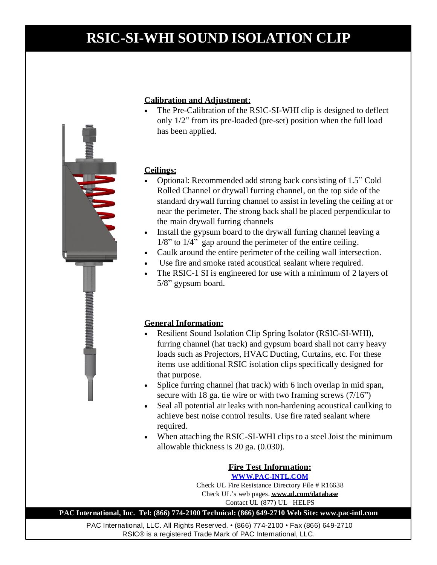

### **Calibration and Adjustment:**

 The Pre-Calibration of the RSIC-SI-WHI clip is designed to deflect only 1/2" from its pre-loaded (pre-set) position when the full load has been applied.

### **Ceilings:**

- Optional: Recommended add strong back consisting of 1.5" Cold Rolled Channel or drywall furring channel, on the top side of the standard drywall furring channel to assist in leveling the ceiling at or near the perimeter. The strong back shall be placed perpendicular to the main drywall furring channels
- Install the gypsum board to the drywall furring channel leaving a 1/8" to 1/4" gap around the perimeter of the entire ceiling.
- Caulk around the entire perimeter of the ceiling wall intersection.
- Use fire and smoke rated acoustical sealant where required.
- The RSIC-1 SI is engineered for use with a minimum of 2 layers of 5/8" gypsum board.

### **General Information:**

- Resilient Sound Isolation Clip Spring Isolator (RSIC-SI-WHI), furring channel (hat track) and gypsum board shall not carry heavy loads such as Projectors, HVAC Ducting, Curtains, etc. For these items use additional RSIC isolation clips specifically designed for that purpose.
- Splice furring channel (hat track) with 6 inch overlap in mid span, secure with 18 ga. tie wire or with two framing screws (7/16")
- Seal all potential air leaks with non-hardening acoustical caulking to achieve best noise control results. Use fire rated sealant where required.
- When attaching the RSIC-SI-WHI clips to a steel Joist the minimum allowable thickness is 20 ga. (0.030).

### **Fire Test Information: WWW.PAC-INTL.COM**

Check UL Fire Resistance Directory File # R16638 Check UL's web pages. **www.ul.com/database** Contact UL (877) UL– HELPS

**PAC International, Inc. Tel: (866) 774-2100 Technical: (866) 649-2710 Web Site: www.pac-intl.com**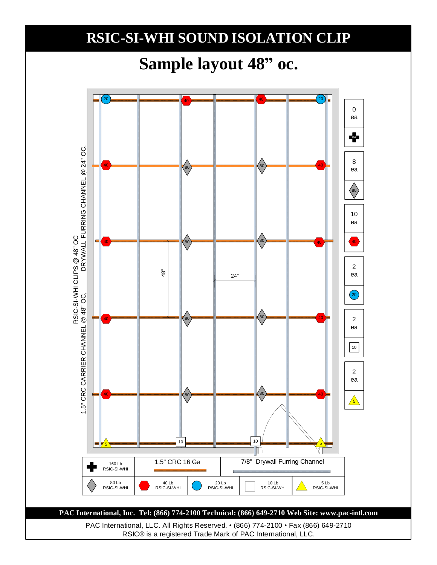# **Sample layout 48" oc.**